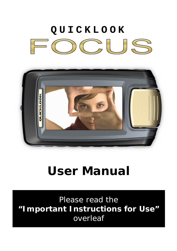# **QUICKLOOK**  $O(15)$



## **User Manual**

Please read the **"Important Instructions for Use"** overleaf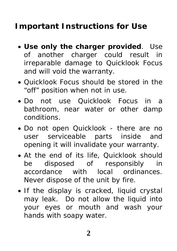### **Important Instructions for Use**

- **Use only the charger provided**. Use of another charger could result in irreparable damage to Quicklook Focus and will void the warranty.
- Quicklook Focus should be stored in the "off" position when not in use.
- Do not use Quicklook Focus in a bathroom, near water or other damp conditions.
- Do not open Quicklook there are no user serviceable parts inside and opening it will invalidate your warranty.
- At the end of its life, Quicklook should be disposed of responsibly in accordance with local ordinances. Never dispose of the unit by fire.
- If the display is cracked, liquid crystal may leak. Do not allow the liquid into your eyes or mouth and wash your hands with soapy water.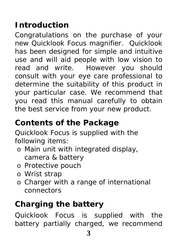### **Introduction**

Congratulations on the purchase of your new Quicklook Focus magnifier. Quicklook has been designed for simple and intuitive use and will aid people with low vision to read and write. However you should consult with your eye care professional to determine the suitability of this product in your particular case. We recommend that you read this manual carefully to obtain the best service from your new product.

### **Contents of the Package**

Quicklook Focus is supplied with the following items:

- o Main unit with integrated display, camera & battery
- o Protective pouch
- o Wrist strap
- o Charger with a range of international connectors

## **Charging the battery**

Quicklook Focus is supplied with the battery partially charged, we recommend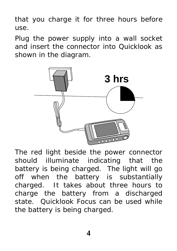that you charge it for three hours before use.

Plug the power supply into a wall socket and insert the connector into Quicklook as shown in the diagram.



The red light beside the power connector should illuminate indicating that the battery is being charged. The light will go off when the battery is substantially charged. It takes about three hours to charge the battery from a discharged state. Quicklook Focus can be used while the battery is being charged.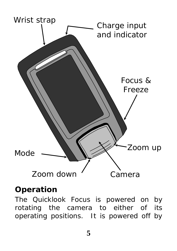

### **Operation**

The Quicklook Focus is powered on by rotating the camera to either of its operating positions. It is powered off by cu un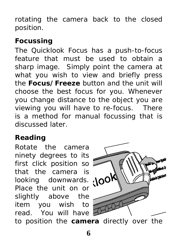rotating the camera back to the closed position.

### **Focussing**

The Quicklook Focus has a push-to-focus feature that must be used to obtain a sharp image. Simply point the camera at what you wish to view and briefly press the **Focus/Freeze** button and the unit will choose the best focus for you. Whenever you change distance to the object you are viewing you will have to re-focus. There is a method for manual focussing that is discussed later.

### **Reading**

Rotate the camera ninety degrees to its first click position so that the camera is looking downwards. Noo Place the unit on or slightly above the item you wish to read. You will have



to position the **camera** directly over the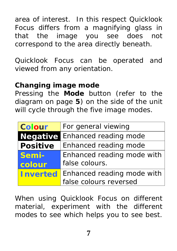area of interest. In this respect Quicklook Focus differs from a magnifying glass in that the image you see does not correspond to the area directly beneath.

Quicklook Focus can be operated and viewed from any orientation.

#### **Changing image mode**

Pressing the **Mode** button (refer to the diagram on page **5**) on the side of the unit will cycle through the five image modes.

| <b>Colour</b>   | For general viewing        |
|-----------------|----------------------------|
| <b>Negative</b> | Enhanced reading mode      |
| <b>Positive</b> | Enhanced reading mode      |
| Semi-           | Enhanced reading mode with |
| colour          | false colours.             |
| <b>Inverted</b> | Enhanced reading mode with |
|                 | false colours reversed     |

When using Quicklook Focus on different material, experiment with the different modes to see which helps you to see best.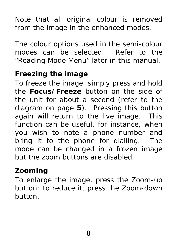Note that all original colour is removed from the image in the enhanced modes.

The colour options used in the semi-colour modes can be selected. Refer to the "Reading Mode Menu" later in this manual.

### **Freezing the image**

To freeze the image, simply press and hold the **Focus/Freeze** button on the side of the unit for about a second (refer to the diagram on page **5**). Pressing this button again will return to the live image. This function can be useful, for instance, when you wish to note a phone number and bring it to the phone for dialling. The mode can be changed in a frozen image but the zoom buttons are disabled.

#### **Zooming**

To enlarge the image, press the Zoom-up button; to reduce it, press the Zoom-down button.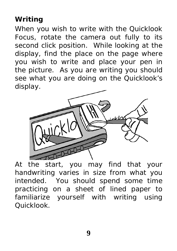### **Writing**

When you wish to write with the Quicklook Focus, rotate the camera out fully to its second click position. While looking at the display, find the place on the page where you wish to write and place your pen in the picture. As you are writing you should see what you are doing on the Quicklook's display.



At the start, you may find that your handwriting varies in size from what you intended. You should spend some time practicing on a sheet of lined paper to familiarize yourself with writing using Quicklook.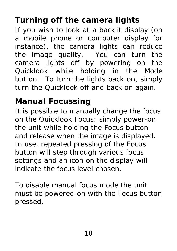### **Turning off the camera lights**

If you wish to look at a backlit display (on a mobile phone or computer display for instance), the camera lights can reduce the image quality. You can turn the camera lights off by powering on the Quicklook while holding in the Mode button. To turn the lights back on, simply turn the Quicklook off and back on again.

### **Manual Focussing**

It is possible to manually change the focus on the Quicklook Focus: simply power-on the unit while holding the Focus button and release when the image is displayed. In use, repeated pressing of the Focus button will step through various focus settings and an icon on the display will indicate the focus level chosen.

To disable manual focus mode the unit must be powered-on with the Focus button pressed.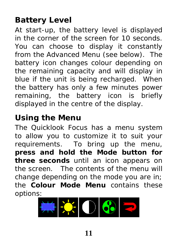### **Battery Level**

At start-up, the battery level is displayed in the corner of the screen for 10 seconds. You can choose to display it constantly from the Advanced Menu (see below). The battery icon changes colour depending on the remaining capacity and will display in blue if the unit is being recharged. When the battery has only a few minutes power remaining, the battery icon is briefly displayed in the centre of the display.

### **Using the Menu**

The Quicklook Focus has a menu system to allow you to customize it to suit your requirements. To bring up the menu, **press and hold the Mode button for three seconds** until an icon appears on the screen. The contents of the menu will change depending on the mode you are in; the **Colour Mode Menu** contains these options:

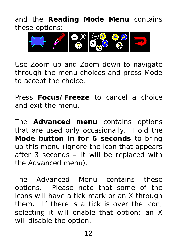and the **Reading Mode Menu** contains these options:



Use Zoom-up and Zoom-down to navigate through the menu choices and press Mode to accept the choice.

Press **Focus/Freeze** to cancel a choice and exit the menu.

The **Advanced menu** contains options that are used only occasionally. Hold the **Mode button in for 6 seconds** to bring up this menu (ignore the icon that appears after 3 seconds – it will be replaced with the Advanced menu).

The Advanced Menu contains these options. Please note that some of the icons will have a tick mark or an X through them. If there is a tick is over the icon, selecting it will enable that option; an X will disable the option.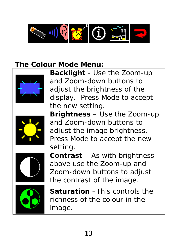

### **The Colour Mode Menu:**

| <b>Backlight</b> - Use the Zoom-up<br>and Zoom-down buttons to<br>adjust the brightness of the<br>display. Press Mode to accept             |
|---------------------------------------------------------------------------------------------------------------------------------------------|
| the new setting.                                                                                                                            |
| <b>Brightness</b> – Use the Zoom-up<br>and Zoom-down buttons to<br>adjust the image brightness.<br>Press Mode to accept the new<br>setting. |
| <b>Contrast</b> – As with brightness<br>above use the Zoom-up and<br>Zoom-down buttons to adjust<br>the contrast of the image.              |
| <b>Saturation</b> - This controls the<br>richness of the colour in the<br>image.                                                            |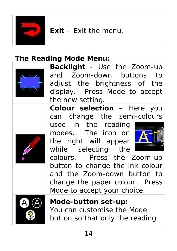

**Exit** – Exit the menu.

### **The Reading Mode Menu:**



**Backlight** - Use the Zoom-up and Zoom-down buttons to adjust the brightness of the display. Press Mode to accept the new setting.

**Colour selection** – Here you can change the semi-colours

used in the reading modes. The icon on the right will appear while selecting the



colours. Press the Zoom-up button to change the ink colour and the Zoom-down button to change the paper colour. Press Mode to accept your choice.



**Mode-button set-up:** You can customise the Mode button so that only the reading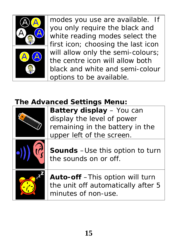

modes you use are available. If you only require the black and white reading modes select the first icon; choosing the last icon will allow only the semi-colours; the centre icon will allow both black and white and semi-colour options to be available.

### **The Advanced Settings Menu:**

| Battery display - You can<br>display the level of power<br>remaining in the battery in the<br>upper left of the screen. |
|-------------------------------------------------------------------------------------------------------------------------|
| <b>Sounds</b> - Use this option to turn<br>the sounds on or off.                                                        |
| Auto-off - This option will turn<br>the unit off automatically after 5<br>minutes of non-use.                           |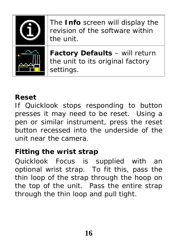

#### **Reset**

If Quicklook stops responding to button presses it may need to be reset. Using a pen or similar instrument, press the reset button recessed into the underside of the unit near the camera.

### **Fitting the wrist strap**

Quicklook Focus is supplied with an optional wrist strap. To fit this, pass the thin loop of the strap through the hoop on the top of the unit. Pass the entire strap through the thin loop and pull tight.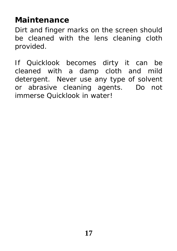### **Maintenance**

Dirt and finger marks on the screen should be cleaned with the lens cleaning cloth provided.

If Quicklook becomes dirty it can be cleaned with a damp cloth and mild detergent. Never use any type of solvent or abrasive cleaning agents. Do not immerse Quicklook in water!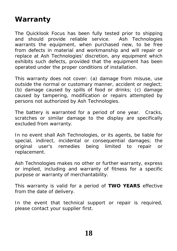#### **Warranty**

The Quicklook Focus has been fully tested prior to shipping and should provide reliable service. Ash Technologies warrants the equipment, when purchased new, to be free from defects in material and workmanship and will repair or replace at Ash Technologies' discretion, any equipment which exhibits such defects, provided that the equipment has been operated under the proper conditions of installation.

This warranty does not cover: (a) damage from misuse, use outside the normal or customary manner, accident or neglect; (b) damage caused by spills of food or drinks; (c) damage caused by tampering, modification or repairs attempted by persons not authorized by Ash Technologies.

The battery is warranted for a period of one year. Cracks, scratches or similar damage to the display are specifically excluded from warranty.

In no event shall Ash Technologies, or its agents, be liable for special, indirect, incidental or consequential damages; the original user's remedies being limited to repair or replacement.

Ash Technologies makes no other or further warranty, express or implied, including and warranty of fitness for a specific purpose or warranty of merchantability.

This warranty is valid for a period of **TWO YEARS** effective from the date of delivery.

In the event that technical support or repair is required, please contact your supplier first.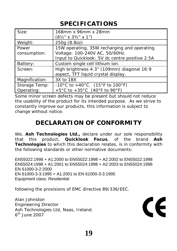#### **SPECIFICATIONS**

| Size:          | 168mm x 96mm x 28mm                                       |
|----------------|-----------------------------------------------------------|
|                | $(6\frac{1}{2}$ " x 3 <sup>3</sup> / <sub>4</sub> " x 1") |
| Weight:        | 250g (8.8oz)                                              |
| Power          | 15W operating, 35W recharging and operating.              |
| consumption:   | Voltage: 100-240V AC, 50/60Hz.                            |
|                | Input to Quicklook: 5V dc centre positive 2.5A            |
| Battery:       | Custom single cell lithium ion.                           |
| Screen:        | High brightness 4.3" (109mm) diagonal 16:9                |
|                | aspect, TFT liquid crystal display.                       |
| Magnification: | 3X to 18X                                                 |
| Storage Temp:  | -10°C to +40°C. (15°F to 100°F)                           |
| Operating:     | +5°C to +35°C (40°F to 90°F)                              |

Some minor screen defects may be present but should not reduce the usability of the product for its intended purpose. As we strive to constantly improve our products, this information is subject to change without notice.

#### **DECLARATION OF CONFORMITY**

We, **Ash Technologies Ltd.,** declare under our sole responsibility that this product, **Quicklook Focus**, of the brand **Ash Technologies** to which this declaration relates, is in conformity with the following standards or other normative documents:

EN55022:1998 + A1:2000 to EN55022:1998 + A2:2002 to EN55022:1998 EN55024:1998 + A1:2001 to EN55024:1998 + A2:2003 to EN55024:1998 EN 61000-3-2:2000 EN 61000-3-3:1995 + A1:2001 to EN 61000-3-3:1995 Equipment class: Residential

following the provisions of EMC directive 89/336/EEC.

Alan Johnston Engineering Director Ash Technologies Ltd, Naas, Ireland.  $6<sup>th</sup>$  June 2007

 $\epsilon$